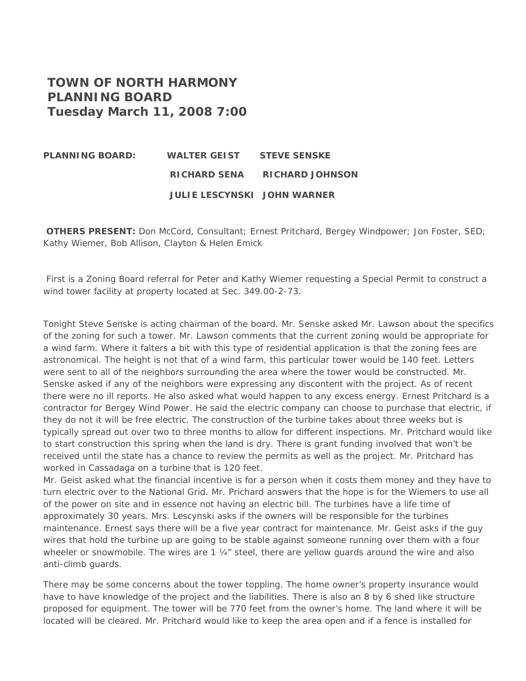## **TOWN OF NORTH HARMONY PLANNING BOARD Tuesday March 11, 2008 7:00**

## **PLANNING BOARD: WALTER GEIST STEVE SENSKE RICHARD SENA RICHARD JOHNSON JULIE LESCYNSKI JOHN WARNER**

**OTHERS PRESENT:** Don McCord, Consultant; Ernest Pritchard, Bergey Windpower; Jon Foster, SED; Kathy Wiemer, Bob Allison, Clayton & Helen Emick

 First is a Zoning Board referral for Peter and Kathy Wiemer requesting a Special Permit to construct a wind tower facility at property located at Sec. 349.00-2-73.

Tonight Steve Senske is acting chairman of the board. Mr. Senske asked Mr. Lawson about the specifics of the zoning for such a tower. Mr. Lawson comments that the current zoning would be appropriate for a wind farm. Where it falters a bit with this type of residential application is that the zoning fees are astronomical. The height is not that of a wind farm, this particular tower would be 140 feet. Letters were sent to all of the neighbors surrounding the area where the tower would be constructed. Mr. Senske asked if any of the neighbors were expressing any discontent with the project. As of recent there were no ill reports. He also asked what would happen to any excess energy. Ernest Pritchard is a contractor for Bergey Wind Power. He said the electric company can choose to purchase that electric, if they do not it will be free electric. The construction of the turbine takes about three weeks but is typically spread out over two to three months to allow for different inspections. Mr. Pritchard would like to start construction this spring when the land is dry. There is grant funding involved that won't be received until the state has a chance to review the permits as well as the project. Mr. Pritchard has worked in Cassadaga on a turbine that is 120 feet.

Mr. Geist asked what the financial incentive is for a person when it costs them money and they have to turn electric over to the National Grid. Mr. Prichard answers that the hope is for the Wiemers to use all of the power on site and in essence not having an electric bill. The turbines have a life time of approximately 30 years. Mrs. Lescynski asks if the owners will be responsible for the turbines maintenance. Ernest says there will be a five year contract for maintenance. Mr. Geist asks if the guy wires that hold the turbine up are going to be stable against someone running over them with a four wheeler or snowmobile. The wires are 1  $\frac{1}{4}$  steel, there are yellow guards around the wire and also anti-climb guards.

There may be some concerns about the tower toppling. The home owner's property insurance would have to have knowledge of the project and the liabilities. There is also an 8 by 6 shed like structure proposed for equipment. The tower will be 770 feet from the owner's home. The land where it will be located will be cleared. Mr. Pritchard would like to keep the area open and if a fence is installed for